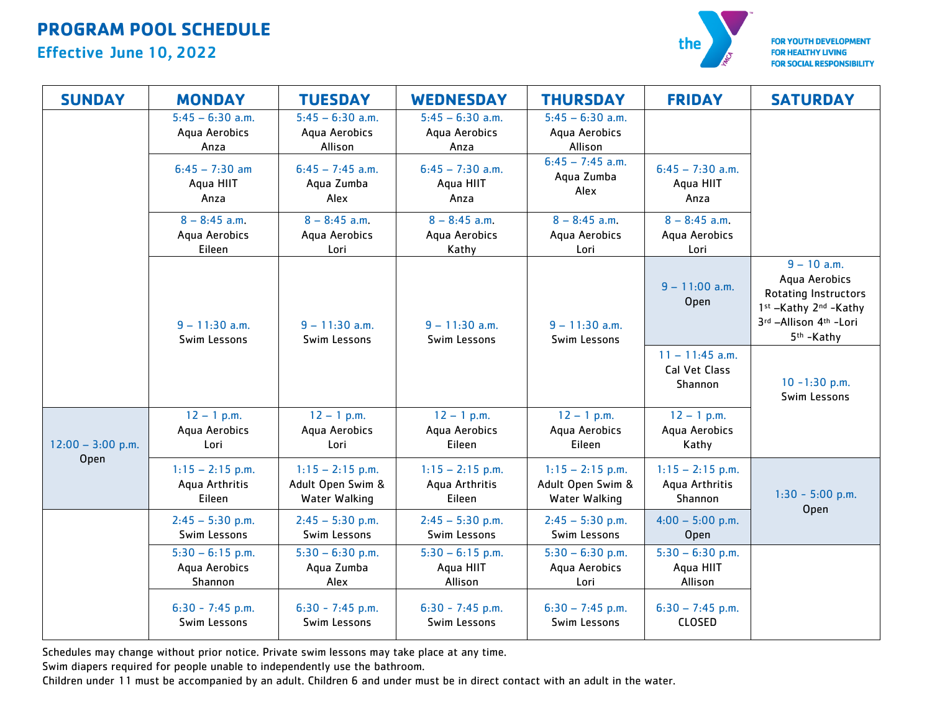# **PROGRAM POOL SCHEDULE**

### Effective June 10, 2022



**FOR YOUTH DEVELOPMENT FOR HEALTHY LIVING FOR SOCIAL RESPONSIBILITY** 

| <b>SUNDAY</b>               | <b>MONDAY</b>                                  | <b>TUESDAY</b>                                           | <b>WEDNESDAY</b>                               | <b>THURSDAY</b>                                          | <b>FRIDAY</b>                                   | <b>SATURDAY</b>                                                                                                                            |
|-----------------------------|------------------------------------------------|----------------------------------------------------------|------------------------------------------------|----------------------------------------------------------|-------------------------------------------------|--------------------------------------------------------------------------------------------------------------------------------------------|
|                             | $5:45 - 6:30$ a.m.<br>Aqua Aerobics<br>Anza    | $5:45 - 6:30$ a.m.<br>Aqua Aerobics<br>Allison           | $5:45 - 6:30$ a.m.<br>Aqua Aerobics<br>Anza    | $5:45 - 6:30$ a.m.<br>Aqua Aerobics<br>Allison           |                                                 |                                                                                                                                            |
|                             | $6:45 - 7:30$ am<br>Aqua HIIT<br>Anza          | $6:45 - 7:45$ a.m.<br>Aqua Zumba<br>Alex                 | $6:45 - 7:30$ a.m.<br>Aqua HIIT<br>Anza        | $6:45 - 7:45$ a.m.<br>Aqua Zumba<br>Alex                 | $6:45 - 7:30$ a.m.<br>Aqua HIIT<br>Anza         |                                                                                                                                            |
|                             | $8 - 8:45$ a.m.<br>Aqua Aerobics<br>Eileen     | $8 - 8:45$ a.m.<br>Aqua Aerobics<br>Lori                 | $8 - 8:45$ a.m.<br>Aqua Aerobics<br>Kathy      | $8 - 8:45$ a.m.<br>Aqua Aerobics<br>Lori                 | $8 - 8:45$ a.m.<br>Aqua Aerobics<br>Lori        |                                                                                                                                            |
|                             | $9 - 11:30$ a.m.<br>Swim Lessons               | $9 - 11:30$ a.m.<br>Swim Lessons                         | $9 - 11:30$ a.m.<br>Swim Lessons               | $9 - 11:30$ a.m.<br>Swim Lessons                         | $9 - 11:00$ a.m.<br>Open                        | $9 - 10$ a.m.<br>Aqua Aerobics<br><b>Rotating Instructors</b><br>1st -Kathy 2nd -Kathy<br>3rd -Allison 4th -Lori<br>5 <sup>th</sup> -Kathy |
|                             |                                                |                                                          |                                                |                                                          | $11 - 11:45$ a.m.<br>Cal Vet Class<br>Shannon   | $10 - 1:30$ p.m.<br>Swim Lessons                                                                                                           |
| $12:00 - 3:00$ p.m.<br>Open | $12 - 1$ p.m.<br>Aqua Aerobics<br>Lori         | $12 - 1$ p.m.<br>Aqua Aerobics<br>Lori                   | $12 - 1$ p.m.<br>Aqua Aerobics<br>Eileen       | $12 - 1$ p.m.<br>Aqua Aerobics<br>Eileen                 | $12 - 1$ p.m.<br>Aqua Aerobics<br>Kathy         |                                                                                                                                            |
|                             | $1:15 - 2:15$ p.m.<br>Aqua Arthritis<br>Eileen | $1:15 - 2:15$ p.m.<br>Adult Open Swim &<br>Water Walking | $1:15 - 2:15$ p.m.<br>Aqua Arthritis<br>Eileen | $1:15 - 2:15$ p.m.<br>Adult Open Swim &<br>Water Walking | $1:15 - 2:15$ p.m.<br>Aqua Arthritis<br>Shannon | $1:30 - 5:00$ p.m.                                                                                                                         |
|                             | $2:45 - 5:30$ p.m.<br>Swim Lessons             | $2:45 - 5:30$ p.m.<br>Swim Lessons                       | $2:45 - 5:30$ p.m.<br>Swim Lessons             | $2:45 - 5:30$ p.m.<br>Swim Lessons                       | $4:00 - 5:00$ p.m.<br>Open                      | Open                                                                                                                                       |
|                             | $5:30 - 6:15$ p.m.<br>Aqua Aerobics<br>Shannon | $5:30 - 6:30$ p.m.<br>Aqua Zumba<br>Alex                 | $5:30 - 6:15$ p.m.<br>Aqua HIIT<br>Allison     | $5:30 - 6:30$ p.m.<br>Aqua Aerobics<br>Lori              | $5:30 - 6:30$ p.m.<br>Aqua HIIT<br>Allison      |                                                                                                                                            |
|                             | $6:30 - 7:45$ p.m.<br>Swim Lessons             | $6:30 - 7:45$ p.m.<br>Swim Lessons                       | $6:30 - 7:45$ p.m.<br>Swim Lessons             | $6:30 - 7:45$ p.m.<br>Swim Lessons                       | $6:30 - 7:45$ p.m.<br>CLOSED                    |                                                                                                                                            |

Schedules may change without prior notice. Private swim lessons may take place at any time.

Swim diapers required for people unable to independently use the bathroom.

Children under 11 must be accompanied by an adult. Children 6 and under must be in direct contact with an adult in the water.